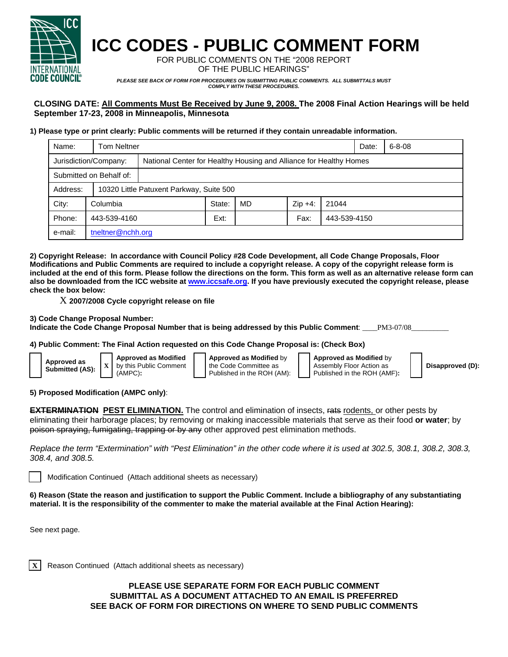

## **ICC CODES - PUBLIC COMMENT FORM**

FOR PUBLIC COMMENTS ON THE "2008 REPORT OF THE PUBLIC HEARINGS"

*PLEASE SEE BACK OF FORM FOR PROCEDURES ON SUBMITTING PUBLIC COMMENTS. ALL SUBMITTALS MUST COMPLY WITH THESE PROCEDURES.* 

## **CLOSING DATE: All Comments Must Be Received by June 9, 2008. The 2008 Final Action Hearings will be held September 17-23, 2008 in Minneapolis, Minnesota**

## **1) Please type or print clearly: Public comments will be returned if they contain unreadable information.**

| Name:                   | <b>Tom Neltner</b>                       |                                                                    |        |    |           |              |  | $6 - 8 - 08$ |  |
|-------------------------|------------------------------------------|--------------------------------------------------------------------|--------|----|-----------|--------------|--|--------------|--|
| Jurisdiction/Company:   |                                          | National Center for Healthy Housing and Alliance for Healthy Homes |        |    |           |              |  |              |  |
| Submitted on Behalf of: |                                          |                                                                    |        |    |           |              |  |              |  |
| Address:                | 10320 Little Patuxent Parkway, Suite 500 |                                                                    |        |    |           |              |  |              |  |
| City:                   | Columbia                                 |                                                                    | State: | MD | $Zip +4:$ | 21044        |  |              |  |
| Phone:                  | 443-539-4160                             |                                                                    | Ext:   |    | Fax:      | 443-539-4150 |  |              |  |
| e-mail:                 | tneltner@nchh.org                        |                                                                    |        |    |           |              |  |              |  |

**2) Copyright Release: In accordance with Council Policy #28 Code Development, all Code Change Proposals, Floor Modifications and Public Comments are required to include a copyright release. A copy of the copyright release form is included at the end of this form. Please follow the directions on the form. This form as well as an alternative release form can also be downloaded from the ICC website at www.iccsafe.org. If you have previously executed the copyright release, please check the box below:** 

X **2007/2008 Cycle copyright release on file** 

**3) Code Change Proposal Number:** 

**Indicate the Code Change Proposal Number that is being addressed by this Public Comment**: \_\_\_\_PM3-07/08\_\_\_\_\_\_\_\_\_\_

**4) Public Comment: The Final Action requested on this Code Change Proposal is: (Check Box)** 

| Approved as<br>Submitted (AS): |  | <b>Approved as Mo</b><br>$X$ by this Public Cor<br>$(AMPC)$ : |
|--------------------------------|--|---------------------------------------------------------------|
|--------------------------------|--|---------------------------------------------------------------|

**Approved as Modified** mment (AMPC)**:** 

**Approved as Modified** by the Code Committee as Published in the ROH (AM): **Approved as Modified** by Assembly Floor Action as Published in the ROH (AMF)**:** 

**Disapproved (D):**

**5) Proposed Modification (AMPC only)**:

**EXTERMINATION PEST ELIMINATION.** The control and elimination of insects, rats rodents, or other pests by eliminating their harborage places; by removing or making inaccessible materials that serve as their food **or water**; by poison spraying, fumigating, trapping or by any other approved pest elimination methods.

*Replace the term "Extermination" with "Pest Elimination" in the other code where it is used at 302.5, 308.1, 308.2, 308.3, 308.4, and 308.5.* 

Modification Continued (Attach additional sheets as necessary)

**6) Reason (State the reason and justification to support the Public Comment. Include a bibliography of any substantiating material. It is the responsibility of the commenter to make the material available at the Final Action Hearing):**

See next page.

**Reason Continued (Attach additional sheets as necessary)** 

**PLEASE USE SEPARATE FORM FOR EACH PUBLIC COMMENT SUBMITTAL AS A DOCUMENT ATTACHED TO AN EMAIL IS PREFERRED SEE BACK OF FORM FOR DIRECTIONS ON WHERE TO SEND PUBLIC COMMENTS**